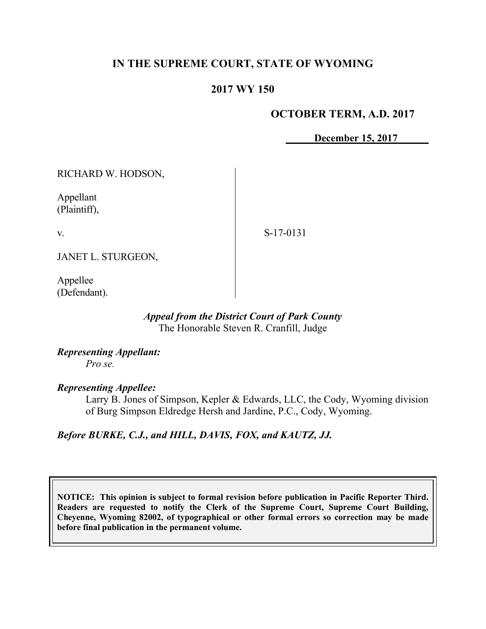# **IN THE SUPREME COURT, STATE OF WYOMING**

## **2017 WY 150**

### **OCTOBER TERM, A.D. 2017**

**December 15, 2017**

RICHARD W. HODSON,

Appellant (Plaintiff),

v.

S-17-0131

JANET L. STURGEON,

Appellee (Defendant).

### *Appeal from the District Court of Park County* The Honorable Steven R. Cranfill, Judge

*Representing Appellant: Pro se.*

### *Representing Appellee:*

Larry B. Jones of Simpson, Kepler & Edwards, LLC, the Cody, Wyoming division of Burg Simpson Eldredge Hersh and Jardine, P.C., Cody, Wyoming.

## *Before BURKE, C.J., and HILL, DAVIS, FOX, and KAUTZ, JJ.*

**NOTICE: This opinion is subject to formal revision before publication in Pacific Reporter Third. Readers are requested to notify the Clerk of the Supreme Court, Supreme Court Building, Cheyenne, Wyoming 82002, of typographical or other formal errors so correction may be made before final publication in the permanent volume.**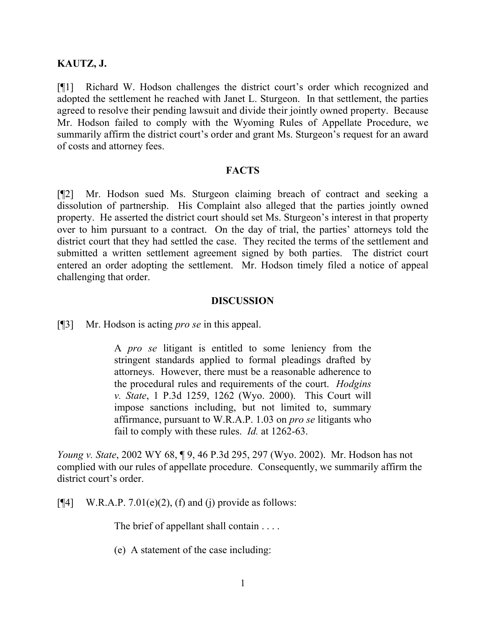### **KAUTZ, J.**

[¶1] Richard W. Hodson challenges the district court's order which recognized and adopted the settlement he reached with Janet L. Sturgeon. In that settlement, the parties agreed to resolve their pending lawsuit and divide their jointly owned property. Because Mr. Hodson failed to comply with the Wyoming Rules of Appellate Procedure, we summarily affirm the district court's order and grant Ms. Sturgeon's request for an award of costs and attorney fees.

#### **FACTS**

[¶2] Mr. Hodson sued Ms. Sturgeon claiming breach of contract and seeking a dissolution of partnership. His Complaint also alleged that the parties jointly owned property. He asserted the district court should set Ms. Sturgeon's interest in that property over to him pursuant to a contract. On the day of trial, the parties' attorneys told the district court that they had settled the case. They recited the terms of the settlement and submitted a written settlement agreement signed by both parties. The district court entered an order adopting the settlement. Mr. Hodson timely filed a notice of appeal challenging that order.

#### **DISCUSSION**

[¶3] Mr. Hodson is acting *pro se* in this appeal.

A *pro se* litigant is entitled to some leniency from the stringent standards applied to formal pleadings drafted by attorneys. However, there must be a reasonable adherence to the procedural rules and requirements of the court. *Hodgins v. State*, 1 P.3d 1259, 1262 (Wyo. 2000). This Court will impose sanctions including, but not limited to, summary affirmance, pursuant to W.R.A.P. 1.03 on *pro se* litigants who fail to comply with these rules. *Id.* at 1262-63.

*Young v. State*, 2002 WY 68, ¶ 9, 46 P.3d 295, 297 (Wyo. 2002). Mr. Hodson has not complied with our rules of appellate procedure. Consequently, we summarily affirm the district court's order.

 $[$ ¶4] W.R.A.P. 7.01(e)(2), (f) and (j) provide as follows:

The brief of appellant shall contain . . . .

(e) A statement of the case including: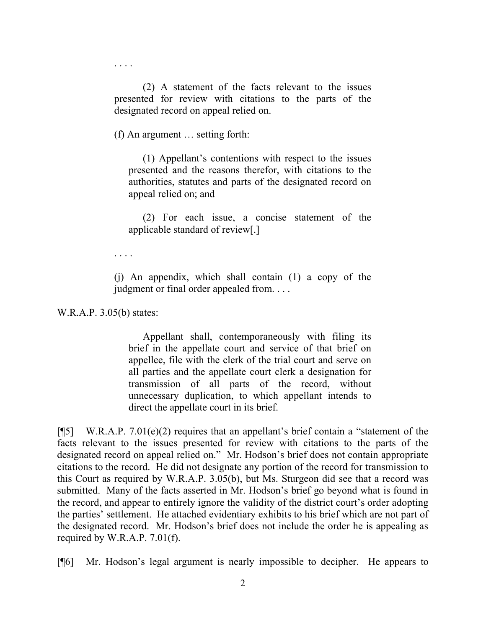(2) A statement of the facts relevant to the issues presented for review with citations to the parts of the designated record on appeal relied on.

(f) An argument … setting forth:

(1) Appellant's contentions with respect to the issues presented and the reasons therefor, with citations to the authorities, statutes and parts of the designated record on appeal relied on; and

(2) For each issue, a concise statement of the applicable standard of review[.]

. . . .

. . . .

(j) An appendix, which shall contain (1) a copy of the judgment or final order appealed from. . . .

W.R.A.P. 3.05(b) states:

Appellant shall, contemporaneously with filing its brief in the appellate court and service of that brief on appellee, file with the clerk of the trial court and serve on all parties and the appellate court clerk a designation for transmission of all parts of the record, without unnecessary duplication, to which appellant intends to direct the appellate court in its brief.

 $[$ [[5] W.R.A.P. 7.01(e)(2) requires that an appellant's brief contain a "statement of the facts relevant to the issues presented for review with citations to the parts of the designated record on appeal relied on." Mr. Hodson's brief does not contain appropriate citations to the record. He did not designate any portion of the record for transmission to this Court as required by W.R.A.P. 3.05(b), but Ms. Sturgeon did see that a record was submitted. Many of the facts asserted in Mr. Hodson's brief go beyond what is found in the record, and appear to entirely ignore the validity of the district court's order adopting the parties' settlement. He attached evidentiary exhibits to his brief which are not part of the designated record. Mr. Hodson's brief does not include the order he is appealing as required by W.R.A.P. 7.01(f).

[¶6] Mr. Hodson's legal argument is nearly impossible to decipher. He appears to